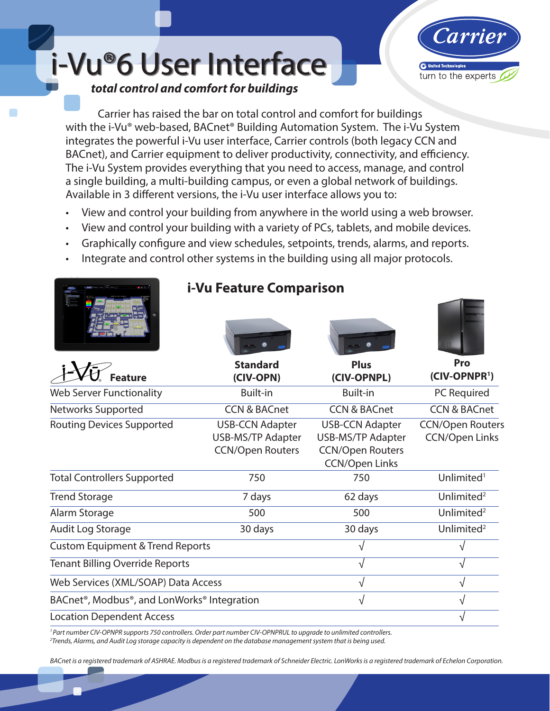i-Vu®6 User Interface *total control and comfort for buildings*



Carrier has raised the bar on total control and comfort for buildings with the i-Vu® web-based, BACnet® Building Automation System. The i-Vu System integrates the powerful i-Vu user interface, Carrier controls (both legacy CCN and BACnet), and Carrier equipment to deliver productivity, connectivity, and efficiency. The i-Vu System provides everything that you need to access, manage, and control a single building, a multi-building campus, or even a global network of buildings. Available in 3 different versions, the i-Vu user interface allows you to:

- View and control your building from anywhere in the world using a web browser.
- View and control your building with a variety of PCs, tablets, and mobile devices.
- Graphically configure and view schedules, setpoints, trends, alarms, and reports.
- Integrate and control other systems in the building using all major protocols.

|                                                                                                                                 | i-Vu Feature Comparison                                                       |                                                                                                        |                                                  |
|---------------------------------------------------------------------------------------------------------------------------------|-------------------------------------------------------------------------------|--------------------------------------------------------------------------------------------------------|--------------------------------------------------|
| eature                                                                                                                          | <b>Standard</b><br>(CIV-OPN)                                                  | <b>Plus</b><br>(CIV-OPNPL)                                                                             | Pro<br>(CIV-OPNPR <sup>1</sup> )                 |
| <b>Web Server Functionality</b>                                                                                                 | <b>Built-in</b>                                                               | <b>Built-in</b>                                                                                        | PC Required                                      |
| Networks Supported                                                                                                              | <b>CCN &amp; BACnet</b>                                                       | <b>CCN &amp; BACnet</b>                                                                                | <b>CCN &amp; BACnet</b>                          |
| <b>Routing Devices Supported</b>                                                                                                | <b>USB-CCN Adapter</b><br><b>USB-MS/TP Adapter</b><br><b>CCN/Open Routers</b> | <b>USB-CCN Adapter</b><br><b>USB-MS/TP Adapter</b><br><b>CCN/Open Routers</b><br><b>CCN/Open Links</b> | <b>CCN/Open Routers</b><br><b>CCN/Open Links</b> |
| <b>Total Controllers Supported</b>                                                                                              | 750                                                                           | 750                                                                                                    | Unlimited <sup>1</sup>                           |
| <b>Trend Storage</b>                                                                                                            | 7 days                                                                        | 62 days                                                                                                | Unlimited <sup>2</sup>                           |
| Alarm Storage                                                                                                                   | 500                                                                           | 500                                                                                                    | Unlimited <sup>2</sup>                           |
| Audit Log Storage                                                                                                               | 30 days                                                                       | 30 days                                                                                                | Unlimited <sup>2</sup>                           |
| <b>Custom Equipment &amp; Trend Reports</b>                                                                                     |                                                                               | ٦Ι                                                                                                     | V                                                |
| <b>Tenant Billing Override Reports</b>                                                                                          |                                                                               | $\sqrt{ }$                                                                                             |                                                  |
| Web Services (XML/SOAP) Data Access                                                                                             |                                                                               | $\sqrt{}$                                                                                              | $\sqrt{}$                                        |
| BACnet <sup>®</sup> , Modbus <sup>®</sup> , and LonWorks <sup>®</sup> Integration                                               |                                                                               | √                                                                                                      | V                                                |
| <b>Location Dependent Access</b>                                                                                                |                                                                               |                                                                                                        |                                                  |
| <sup>1</sup> Part number CIV-OPNPR supports 750 controllers. Order part number CIV-OPNPRUL to uparade to unlimited controllers. |                                                                               |                                                                                                        |                                                  |

' Part number CIV-OPNPR supports 750 controllers. Order part number CIV-OPNPRUL to upgrade to unlimited controllers.<br><sup>2</sup>Trends, Alarms, and Audit Log storage capacity is dependent on the database management system that is

*BACnet is a registered trademark of ASHRAE. Modbus is a registered trademark of Schneider Electric. LonWorks is a registered trademark of Echelon Corporation.*